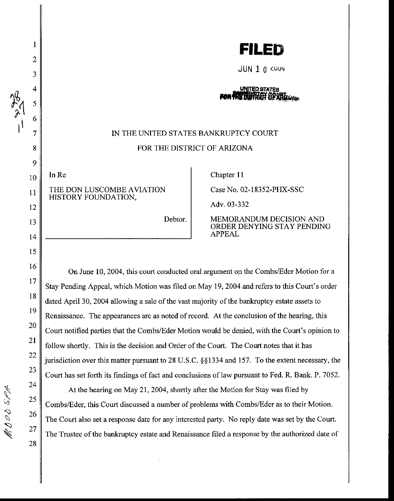

 $JUN$  1  $0$   $\omega$ uu $4$ 

## **UNITED STATES**

## IN THE UNITED STATES BANKRUPTCY COURT FOR THE DISTRICT OF ARIZONA

InRe THE DON LUSCOMBE AVIATION HISTORY FOUNDATION,

Chapter II

Case No. 02-18352-PHX-SSC

Adv. 03-332

Debtor.

MEMORANDUM DECISION AND ORDER DENYING STAY PENDING APPEAL

On June 10,2004, this court conducted oral argument on the Combs/Eder Motion for a Stay Pending Appeal, which Motion was filed on May 19, 2004 and refers to this Court's order dated April 30, 2004 allowing a sale of the vast majority of the bankruptcy estate assets to Renaissance. The appearances are as noted of record. At the conclusion of the hearing, this Court notified parties that the Combs/Eder Motion would be denied, with the Court's opinion to follow shortly. This is the decision and Order of the Court. The Court notes that it has jurisdiction over this matter pursuant to 28 U.S.C. *§§* 1334 and 157. To the extent necessary, the Court has set forth its findings of fact and conclusions of law pursuant to Fed. R. Bank. P. 7052.

At the hearing on May 21, 2004, shortly after the Motion for Stay was filed by Combs/Eder, this Court discussed a number of problems with Combs/Eder as to their Motion. The Court also set a response date for any interested party. No reply date was set by the Court. The Trustee of the bankruptcy estate and Renaissance filed a response by the authorized date of

I

2

3

5

6

7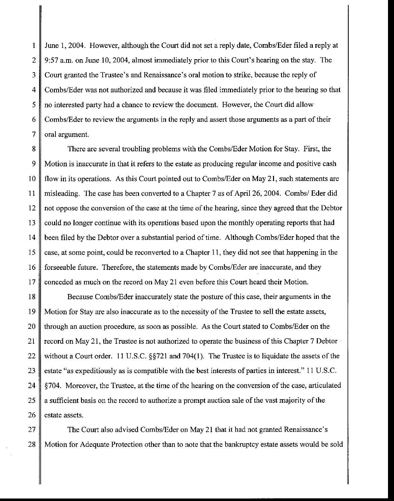1 June 1, 2004. However, although the Court did not set a reply date, Combs/Eder filed a reply at 2 9:57 a.m. on June 10, 2004, almost immediately prior to this Court's hearing on the stay. The 3 Court granted the Trustee's and Renaissance's oral motion to strike, because the reply of 4 Combs/Eder was not authorized and because it was filed immediately prior to the hearing so that 5 no interested party had a chance to review the document. However, the Court did allow 6 Combs/Eder to review the arguments in the reply and assert those arguments as a part of their  $7 \parallel$  oral argument.

8 There are several troubling problems with the Combs/Eder Motion for Stay. First, the 9 Motion is inaccurate in that it refers to the estate as producing regular income and positive cash 10 | flow in its operations. As this Court pointed out to Combs/Eder on May 21, such statements are 11 misleading. The case has been converted to a Chapter 7 as of April 26, 2004. Combs/ Eder did 12 not oppose the conversion of the case at the time of the hearing, since they agreed that the Debtor 13 could no longer continue with its operations based upon the monthly operating reports that had 14 been filed by the Debtor over a substantial period of time. Although Combs/Eder hoped that the 15 case, at some point, could be reconverted to a Chapter 11, they did not see that happening in the 16 forseeable future. Therefore, the statements made by Combs/Eder are inaccurate, and they 17 conceded as much on the record on May 21 even before this Court heard their Motion.

18 Because Combs/Eder inaccurately state the posture of this case, their arguments in the 19 Motion for Stay are also inaccurate as to the necessity of the Trustee to sell the estate assets, 20 through an auction procedure, as soon as possible. As the Court stated to Combs/Eder on the 21  $\parallel$  record on May 21, the Trustee is not authorized to operate the business of this Chapter 7 Debtor 22 without a Court order. 11 U.S.C. §§721 and 704(1). The Trustee is to liquidate the assets of the 23 estate "as expeditiously as is compatible with the best interests of parties in interest." 11 U.S.C. 24 §704. Moreover, the Trustee, at the time of the hearing on the conversion of the case, articulated 25  $\parallel$  a sufficient basis on the record to authorize a prompt auction sale of the vast majority of the  $26 \parallel$  estate assets.

27 The Court also advised Combs/Eder on May 21 that it had not granted Renaissance's 28 Motion for Adequate Protection other than to note that the bankruptcy estate assets would be sold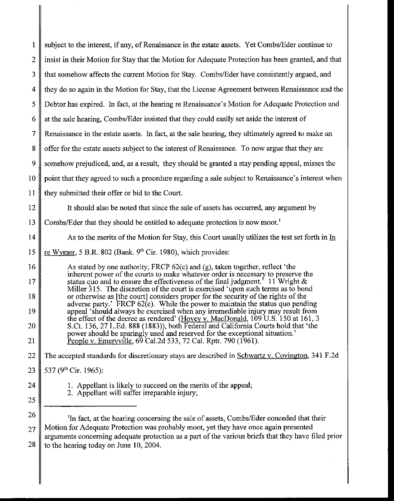| 1              | subject to the interest, if any, of Renaissance in the estate assets. Yet Combs/Eder continue to                                                                                            |
|----------------|---------------------------------------------------------------------------------------------------------------------------------------------------------------------------------------------|
| $\overline{2}$ | insist in their Motion for Stay that the Motion for Adequate Protection has been granted, and that                                                                                          |
| 3              | that somehow affects the current Motion for Stay. Combs/Eder have consistently argued, and                                                                                                  |
| 4              | they do so again in the Motion for Stay, that the License Agreement between Renaissance and the                                                                                             |
| 5              | Debtor has expired. In fact, at the hearing re Renaissance's Motion for Adequate Protection and                                                                                             |
| 6              | at the sale hearing, Combs/Eder insisted that they could easily set aside the interest of                                                                                                   |
| $\overline{7}$ | Renaissance in the estate assets. In fact, at the sale hearing, they ultimately agreed to make an                                                                                           |
| 8              | offer for the estate assets subject to the interest of Renaissance. To now argue that they are                                                                                              |
| 9              | somehow prejudiced, and, as a result, they should be granted a stay pending appeal, misses the                                                                                              |
| 10             | point that they agreed to such a procedure regarding a sale subject to Renaissance's interest when                                                                                          |
| 11             | they submitted their offer or bid to the Court.                                                                                                                                             |
| 12             | It should also be noted that since the sale of assets has occurred, any argument by                                                                                                         |
| 13             | Combs/Eder that they should be entitled to adequate protection is now moot. <sup>1</sup>                                                                                                    |
| 14             | As to the merits of the Motion for Stay, this Court usually utilizes the test set forth in In                                                                                               |
| 15             | re Wymer, 5 B.R. 802 (Bank. 9th Cir. 1980), which provides:                                                                                                                                 |
| 16             | As stated by one authority, FRCP $62(c)$ and (g), taken together, reflect 'the<br>inherent power of the courts to make whatever order is necessary to preserve the                          |
| 17             | status quo and to ensure the effectiveness of the final judgment. <sup>5</sup> 11 Wright &<br>Miller 315. The discretion of the court is exercised 'upon such terms as to bond              |
| 18             | or otherwise as [the court] considers proper for the security of the rights of the<br>adverse party.' FRCP 62(c). While the power to maintain the status quo pending                        |
| 19             | appeal 'should always be exercised when any irremediable injury may result from<br>the effect of the decree as rendered' (Hovey v. MacDonald, 109 U.S. 150 at 161, 3                        |
| 20             | S.Ct. 136, 27 L.Ed. 888 (1883)), both Federal and California Courts hold that 'the<br>power should be sparingly used and reserved for the exceptional situation.                            |
| 21             | People v. Emeryville, 69 Cal.2d 533, 72 Cal. Rptr. 790 (1961).                                                                                                                              |
| 22             | The accepted standards for discretionary stays are described in Schwartz v. Covington, 341 F.2d                                                                                             |
| 23             | 537 (9 <sup>th</sup> Cir. 1965):                                                                                                                                                            |
| 24             | 1. Appellant is likely to succeed on the merits of the appeal;<br>2. Appellant will suffer irreparable injury;                                                                              |
| 25             |                                                                                                                                                                                             |
| 26             | <sup>1</sup> In fact, at the hearing concerning the sale of assets, Combs/Eder conceded that their                                                                                          |
| 27             | Motion for Adequate Protection was probably moot, yet they have once again presented<br>arguments concerning adequate protection as a part of the various briefs that they have filed prior |
| 28             | to the hearing today on June 10, 2004.                                                                                                                                                      |
|                |                                                                                                                                                                                             |

 $\parallel$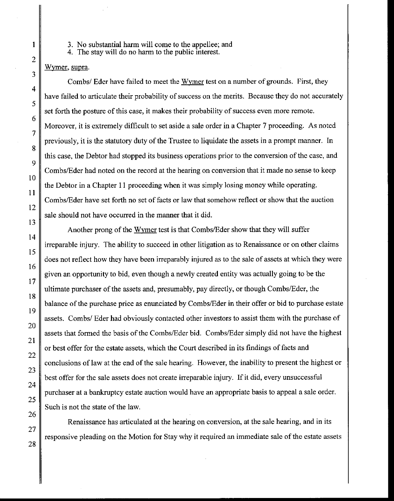3. No substantial harm will come to the appellee; and

4. The stay will do no harm to the public interest.

## Wymer, supra.

Combs/ Eder have failed to meet the Wymer test on a number of grounds. First, they have failed to articulate their probability of success on the merits. Because they do not accurately set forth the posture of this case, it makes their probability of success even more remote. Moreover, it is extremely difficult to set aside a sale order in a Chapter 7 proceeding. As noted previously, it is the statutory duty of the Trustee to liquidate the assets in a prompt manner. In this case, the Debtor had stopped its business operations prior to the conversion of the case, and Combs/Eder had noted on the record at the hearing on conversion that it made no sense to keep the Debtor in a Chapter II proceeding when it was simply losing money while operating. Combs/Eder have set forth no set of facts or law that somehow reflect or show that the auction sale should not have occurred in the manner that it did.

Another prong of the Wymer test is that Combs/Eder show that they will suffer irreparable injury. The ability to succeed in other litigation as to Renaissance or on other claims does not reflect how they have been irreparably injured as to the sale of assets at which they were given an opportunity to bid, even though a newly created entity was actually going to be the ultimate purchaser of the assets and, presumably, pay directly, or though Combs/Eder, the balance of the purchase price as enunciated by Combs/Eder in their offer or bid to purchase estate assets. Combs/ Eder had obviously contacted other investors to assist them with the purchase of assets that formed the basis of the Combs/Eder bid. Combs/Eder simply did not have the highest or best offer for the estate assets, which the Court described in its findings of facts and conclusions of law at the end of the sale hearing. However, the inability to present the highest or best offer for the sale assets does not create irreparable injury. If it did, every unsuccessful purchaser at a bankruptcy estate auction would have an appropriate basis to appeal a sale order. Such is not the state of the law.

Renaissance has articulated at the hearing on conversion, at the sale hearing, and in its responsive pleading on the Motion for Stay why it required an immediate sale of the estate assets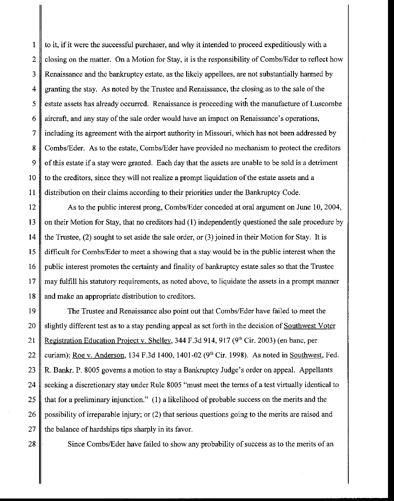$\parallel$  1  $\parallel$  to it, if it were the successful purchaser, and why it intended to proceed expeditiously with a 2 closing on the matter. On a Motion for Stay, it is the responsibility of Combs/Eder to reflect how 3 Renaissance and the bankruptcy estate, as the likely appellees, are not substantially harmed by 4 granting the stay. As noted by the Trustee and Renaissance, the closing as to the sale of the 5 estate assets has already occurred. Renaissance is proceeding with the manufacture of Luscombe 6 aircraft, and any stay of the sale order would have an impact on Renaissance's operations, 7 including its agreement with the airport authority in Missouri, which has not been addressed by 8 Combs/Eder. As to the estate, Combs/Eder have provided no mechanism to protect the creditors 9 of this estate if a stay were granted. Each day that the assets are unable to be sold is a detriment 10 | to the creditors, since they will not realize a prompt liquidation of the estate assets and a II distribution on their claims according to their priorities under the Bankruptcy Code.

12 As to the public interest prong, Combs/Eder conceded at oral argument on June 10, 2004, 13 on their Motion for Stay, that no creditors had (1) independently questioned the sale procedure by 14 the Trustee, (2) sought to set aside the sale order, or (3) joined in their Motion for Stay. It is 15 difficult for Combs/Eder to meet a showing that a stay would be in the public interest when the 16 public interest promotes the certainty and finality of bankruptcy estate sales so that the Trustee 17 may fulfill his statutory requirements, as noted above, to liquidate the assets in a prompt manner 18 and make an appropriate distribution to creditors.

19 The Trustee and Renaissance also point out that Combs/Eder have failed to meet the 20 slightly different test as to a stay pending appeal as set forth in the decision of Southwest Voter 21 Registration Education Project v. Shelley, 344 F.3d 914, 917 (9'h Cir. 2003) (en bane, per 22 curiam); Roe v. Anderson, 134 F.3d 1400, 1401-02 (9<sup>th</sup> Cir. 1998). As noted in Southwest, Fed. 23 R. Bankr. P. 8005 governs a motion to stay a Bankruptcy Judge's order on appeal. Appellants 24 seeking a discretionary stay under Rule 8005 "must meet the terms of a test virtually identical to 25  $\parallel$  that for a preliminary injunction." (1) a likelihood of probable success on the merits and the 26 possibility of irreparable injury; or (2) that serious questions going to the merits are raised and 27  $\parallel$  the balance of hardships tips sharply in its favor.

28  $\parallel$  Since Combs/Eder have failed to show any probability of success as to the merits of an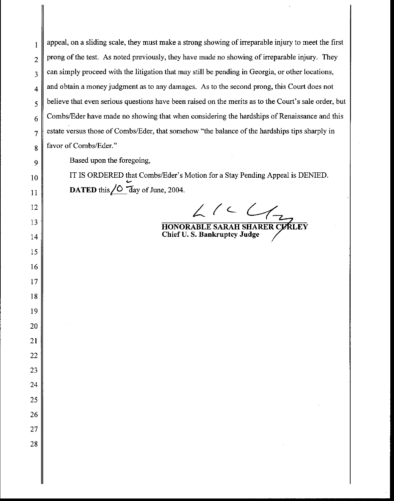I appeal, on a sliding scale, they must make a strong showing of irreparable injury to meet the first prong of the test. As noted previously, they have made no showing of irreparable injury. They can simply proceed with the litigation that may still be pending in Georgia, or other locations, and obtain a money judgment as to any damages. As to the second prong, this Court does not believe that even serious questions have been raised on the merits as to the Court's sale order, but Combs/Eder have made no showing that when considering the hardships of Renaissance and this estate versus those of Combs/Eder, that somehow "the balance of the hardships tips sharply in favor of Combs/Eder."

Based upon the foregoing,

IT IS ORDERED that Combs/Eder's Motion for a Stay Pending Appeal is DENIED. **DATED** this  $\angle$ **O**  $\overline{day}$  of June, 2004.

 $L$  /  $C$ 

**HONORABLE SARAH SHARER CURLEY ChiefU. S. Bankruptcy Judge**